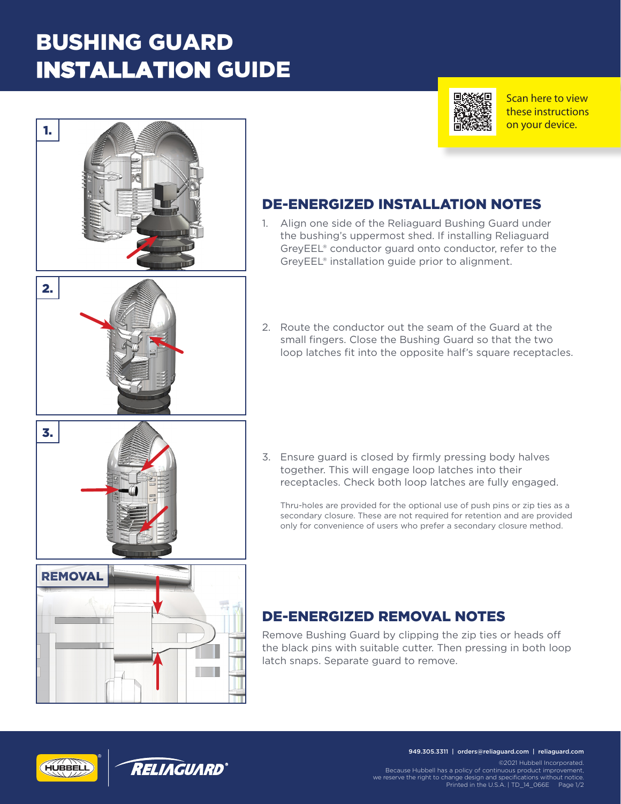# BUSHING GUARD INSTALLATION GUIDE

1.

3.

2.



Scan here to view these instructions on your device.

## DE-ENERGIZED INSTALLATION NOTES

- 1. Align one side of the Reliaguard Bushing Guard under the bushing's uppermost shed. If installing Reliaguard GreyEEL® conductor guard onto conductor, refer to the GreyEEL® installation guide prior to alignment.
- 2. Route the conductor out the seam of the Guard at the small fingers. Close the Bushing Guard so that the two loop latches fit into the opposite half's square receptacles.

3. Ensure guard is closed by firmly pressing body halves together. This will engage loop latches into their receptacles. Check both loop latches are fully engaged.

Thru-holes are provided for the optional use of push pins or zip ties as a secondary closure. These are not required for retention and are provided only for convenience of users who prefer a secondary closure method.

# REMOVAL

### DE-ENERGIZED REMOVAL NOTES

Remove Bushing Guard by clipping the zip ties or heads off the black pins with suitable cutter. Then pressing in both loop latch snaps. Separate guard to remove.





949.305.3311 | orders@reliaguard.com | reliaguard.com

©2021 Hubbell Incorporated. Because Hubbell has a policy of continuous product improvement, we reserve the right to change design and specifications without notice. Printed in the U.S.A. | TD\_14\_066E Page 1/2